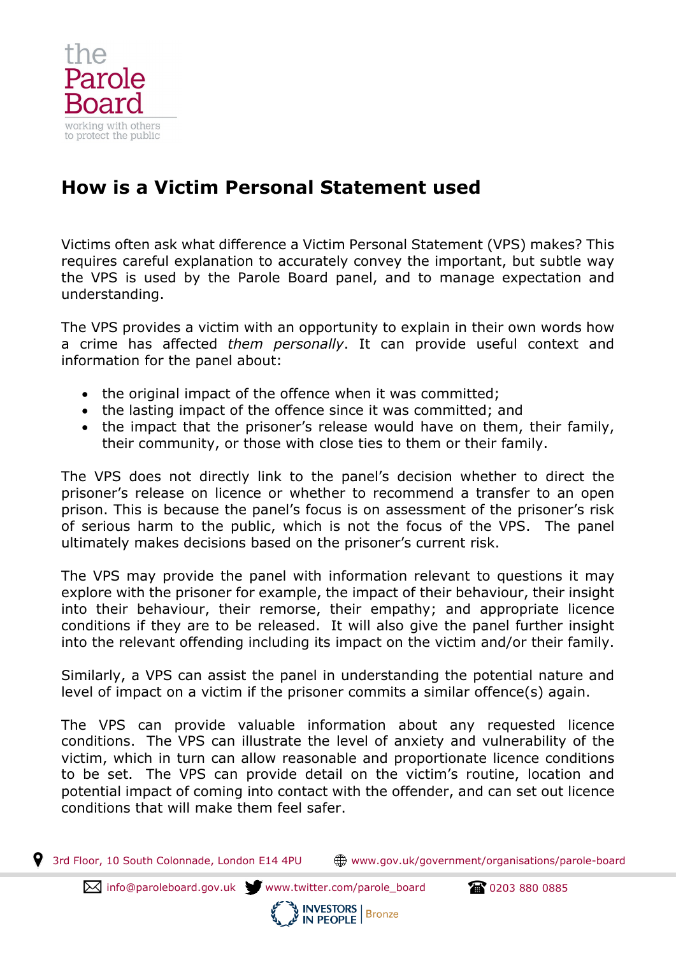

## **How is a Victim Personal Statement used**

Victims often ask what difference a Victim Personal Statement (VPS) makes? This requires careful explanation to accurately convey the important, but subtle way the VPS is used by the Parole Board panel, and to manage expectation and understanding.

The VPS provides a victim with an opportunity to explain in their own words how a crime has affected *them personally*. It can provide useful context and information for the panel about:

- the original impact of the offence when it was committed;
- the lasting impact of the offence since it was committed; and
- the impact that the prisoner's release would have on them, their family, their community, or those with close ties to them or their family.

The VPS does not directly link to the panel's decision whether to direct the prisoner's release on licence or whether to recommend a transfer to an open prison. This is because the panel's focus is on assessment of the prisoner's risk of serious harm to the public, which is not the focus of the VPS. The panel ultimately makes decisions based on the prisoner's current risk.

The VPS may provide the panel with information relevant to questions it may explore with the prisoner for example, the impact of their behaviour, their insight into their behaviour, their remorse, their empathy; and appropriate licence conditions if they are to be released. It will also give the panel further insight into the relevant offending including its impact on the victim and/or their family.

Similarly, a VPS can assist the panel in understanding the potential nature and level of impact on a victim if the prisoner commits a similar offence(s) again.

The VPS can provide valuable information about any requested licence conditions. The VPS can illustrate the level of anxiety and vulnerability of the victim, which in turn can allow reasonable and proportionate licence conditions to be set. The VPS can provide detail on the victim's routine, location and potential impact of coming into contact with the offender, and can set out licence conditions that will make them feel safer.

9 3rd Floor, 10 South Colonnade, London E14 4PU www.gov.uk/government/organisations/parole-board

**IN PEOPLE** 

 $\boxtimes$  info@paroleboard.gov.uk www.twitter.com/parole\_board  $\blacksquare$  0203 880 0885

**INVESTORS**<br>IN PEOPLE Bronze